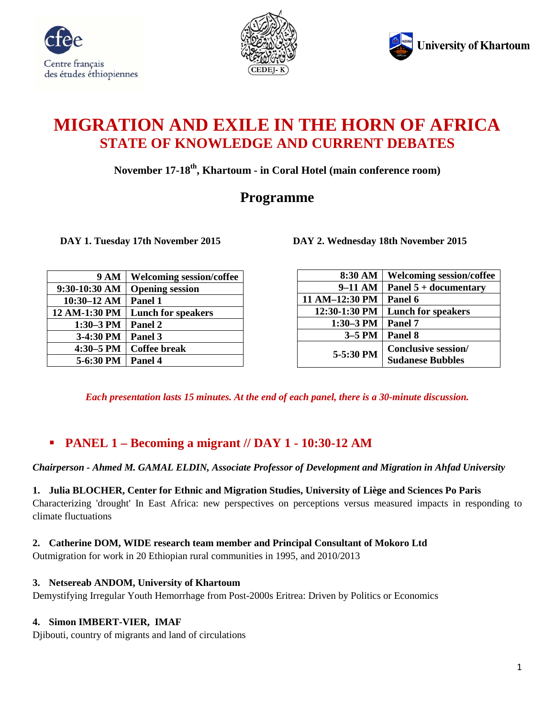





# **MIGRATION AND EXILE IN THE HORN OF AFRICA STATE OF KNOWLEDGE AND CURRENT DEBATES**

**November 17-18th, Khartoum - in Coral Hotel (main conference room)**

# **Programme**

 **DAY 1. Tuesday 17th November 2015 DAY 2. Wednesday 18th November 2015**

| 8:30 AM        | <b>Welcoming session/coffee</b>                       |
|----------------|-------------------------------------------------------|
| $9-11$ AM      | Panel $5 +$ documentary                               |
| 11 AM-12:30 PM | Panel 6                                               |
| 12:30-1:30 PM  | <b>Lunch for speakers</b>                             |
| $1:30-3$ PM    | Panel 7                                               |
| $3-5$ PM       | Panel 8                                               |
| 5-5:30 PM      | <b>Conclusive session/</b><br><b>Sudanese Bubbles</b> |

*Each presentation lasts 15 minutes. At the end of each panel, there is a 30-minute discussion.*

# **PANEL 1 – Becoming a migrant // DAY 1 - 10:30-12 AM**

# *Chairperson - Ahmed M. GAMAL ELDIN, Associate Professor of Development and Migration in Ahfad University*

# **1. Julia BLOCHER, Center for Ethnic and Migration Studies, University of Liège and Sciences Po Paris**

Characterizing 'drought' In East Africa: new perspectives on perceptions versus measured impacts in responding to climate fluctuations

# **2. Catherine DOM, WIDE research team member and Principal Consultant of Mokoro Ltd**

Outmigration for work in 20 Ethiopian rural communities in 1995, and 2010/2013

# **3. Netsereab ANDOM, University of Khartoum**

Demystifying Irregular Youth Hemorrhage from Post-2000s Eritrea: Driven by Politics or Economics

# **4. Simon IMBERT-VIER, IMAF**

Djibouti, country of migrants and land of circulations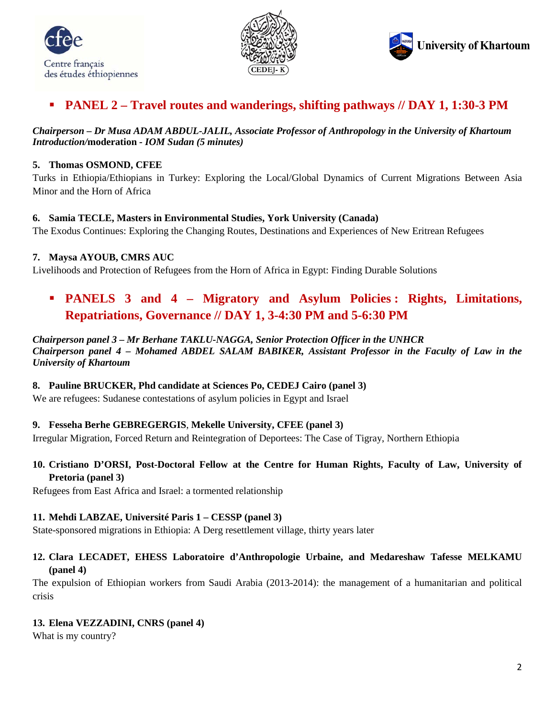





# **PANEL 2 – Travel routes and wanderings, shifting pathways // DAY 1, 1:30-3 PM**

*Chairperson – Dr Musa ADAM ABDUL-JALIL, Associate Professor of Anthropology in the University of Khartoum Introduction/***moderation** *- IOM Sudan (5 minutes)*

#### **5. Thomas OSMOND, CFEE**

Turks in Ethiopia/Ethiopians in Turkey: Exploring the Local/Global Dynamics of Current Migrations Between Asia Minor and the Horn of Africa

#### **6. Samia TECLE, Masters in Environmental Studies, York University (Canada)**

The Exodus Continues: Exploring the Changing Routes, Destinations and Experiences of New Eritrean Refugees

#### **7. Maysa AYOUB, CMRS AUC**

Livelihoods and Protection of Refugees from the Horn of Africa in Egypt: Finding Durable Solutions

# **PANELS 3 and 4 – Migratory and Asylum Policies : Rights, Limitations, Repatriations, Governance // DAY 1, 3-4:30 PM and 5-6:30 PM**

*Chairperson panel 3 – Mr Berhane TAKLU-NAGGA, Senior Protection Officer in the UNHCR Chairperson panel 4* **–** *Mohamed ABDEL SALAM BABIKER, Assistant Professor in the Faculty of Law in the University of Khartoum* 

### **8. Pauline BRUCKER, Phd candidate at Sciences Po, CEDEJ Cairo (panel 3)**

We are refugees: Sudanese contestations of asylum policies in Egypt and Israel

### **9. Fesseha Berhe GEBREGERGIS**, **Mekelle University, CFEE (panel 3)**

Irregular Migration, Forced Return and Reintegration of Deportees: The Case of Tigray, Northern Ethiopia

# **10. Cristiano D'ORSI, Post-Doctoral Fellow at the Centre for Human Rights, Faculty of Law, University of Pretoria (panel 3)**

Refugees from East Africa and Israel: a tormented relationship

### **11. Mehdi LABZAE, Université Paris 1 – CESSP (panel 3)**

State-sponsored migrations in Ethiopia: A Derg resettlement village, thirty years later

### **12. Clara LECADET, EHESS Laboratoire d'Anthropologie Urbaine, and Medareshaw Tafesse MELKAMU (panel 4)**

The expulsion of Ethiopian workers from Saudi Arabia (2013-2014): the management of a humanitarian and political crisis

### **13. Elena VEZZADINI, CNRS (panel 4)**

What is my country?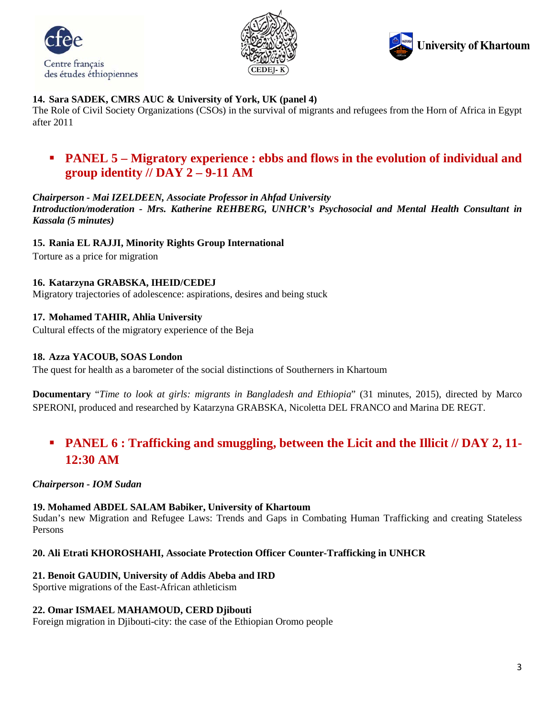





### **14. Sara SADEK, CMRS AUC & University of York, UK (panel 4)**

The Role of Civil Society Organizations (CSOs) in the survival of migrants and refugees from the Horn of Africa in Egypt after 2011

# **PANEL 5 – Migratory experience : ebbs and flows in the evolution of individual and group identity // DAY 2 – 9-11 AM**

### *Chairperson - Mai IZELDEEN, Associate Professor in Ahfad University*

*Introduction/moderation - Mrs. Katherine REHBERG, UNHCR's Psychosocial and Mental Health Consultant in Kassala (5 minutes)*

#### **15. Rania EL RAJJI, Minority Rights Group International**

Torture as a price for migration

### **16. Katarzyna GRABSKA, IHEID/CEDEJ**

Migratory trajectories of adolescence: aspirations, desires and being stuck

### **17. Mohamed TAHIR, Ahlia University**

Cultural effects of the migratory experience of the Beja

#### **18. Azza YACOUB, SOAS London**

The quest for health as a barometer of the social distinctions of Southerners in Khartoum

**Documentary** "*Time to look at girls: migrants in Bangladesh and Ethiopia*" (31 minutes, 2015), directed by Marco SPERONI, produced and researched by Katarzyna GRABSKA, Nicoletta DEL FRANCO and Marina DE REGT.

# **PANEL 6 : Trafficking and smuggling, between the Licit and the Illicit // DAY 2, 11- 12:30 AM**

### *Chairperson - IOM Sudan*

#### **19. Mohamed ABDEL SALAM Babiker, University of Khartoum**

Sudan's new Migration and Refugee Laws: Trends and Gaps in Combating Human Trafficking and creating Stateless Persons

#### **20. Ali Etrati KHOROSHAHI, Associate Protection Officer Counter-Trafficking in UNHCR**

#### **21. Benoit GAUDIN, University of Addis Abeba and IRD**

Sportive migrations of the East-African athleticism

#### **22. Omar ISMAEL MAHAMOUD, CERD Djibouti**

Foreign migration in Djibouti-city: the case of the Ethiopian Oromo people